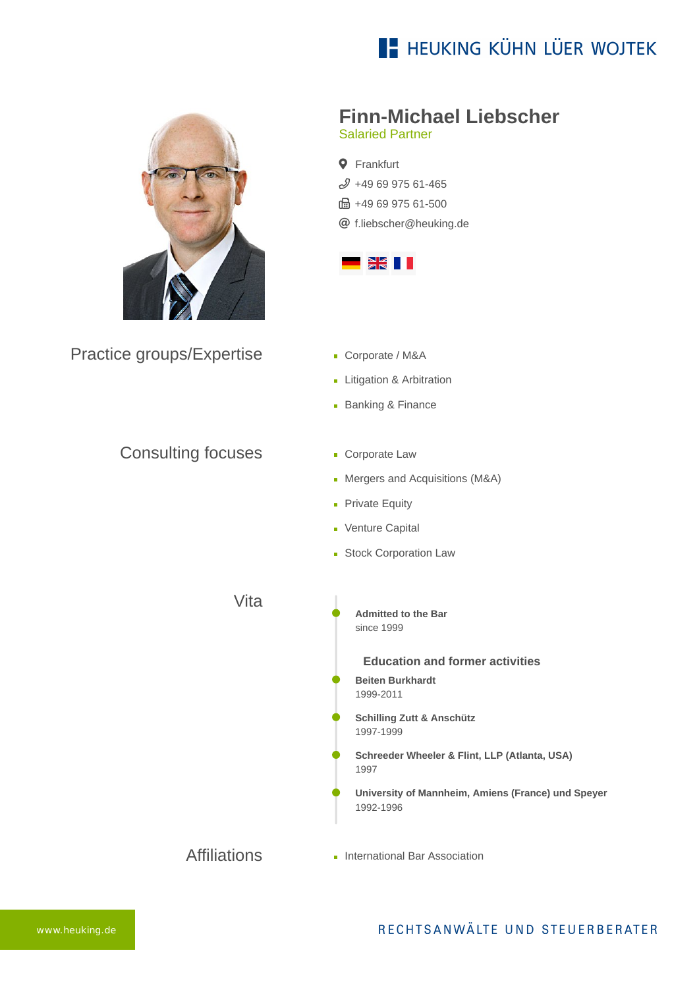# **E- HEUKING KÜHN LÜER WOJTEK**



Practice groups/Expertise

### **Finn-Michael Liebscher**

Salaried Partner

**Q** Frankfurt  $$496997561-465$ ft: +49 69 975 61-500 [f.liebscher@heuking.de](mailto:f.liebscher@heuking.de?subject=Contact%20via%20website%20heuking.de)



- Corporate / M&A
- **Litigation & Arbitration**
- **Banking & Finance**
- Consulting focuses
- **Corporate Law**
- **Mergers and Acquisitions (M&A)**
- **Private Equity**
- **Venture Capital**
- **Stock Corporation Law**

Vita

**Admitted to the Bar** since 1999

**Education and former activities Beiten Burkhardt** 1999-2011

- **Schilling Zutt & Anschütz** 1997-1999
- **Schreeder Wheeler & Flint, LLP (Atlanta, USA)** 1997
- **University of Mannheim, Amiens (France) und Speyer** 1992-1996

Affiliations **International Bar Association**